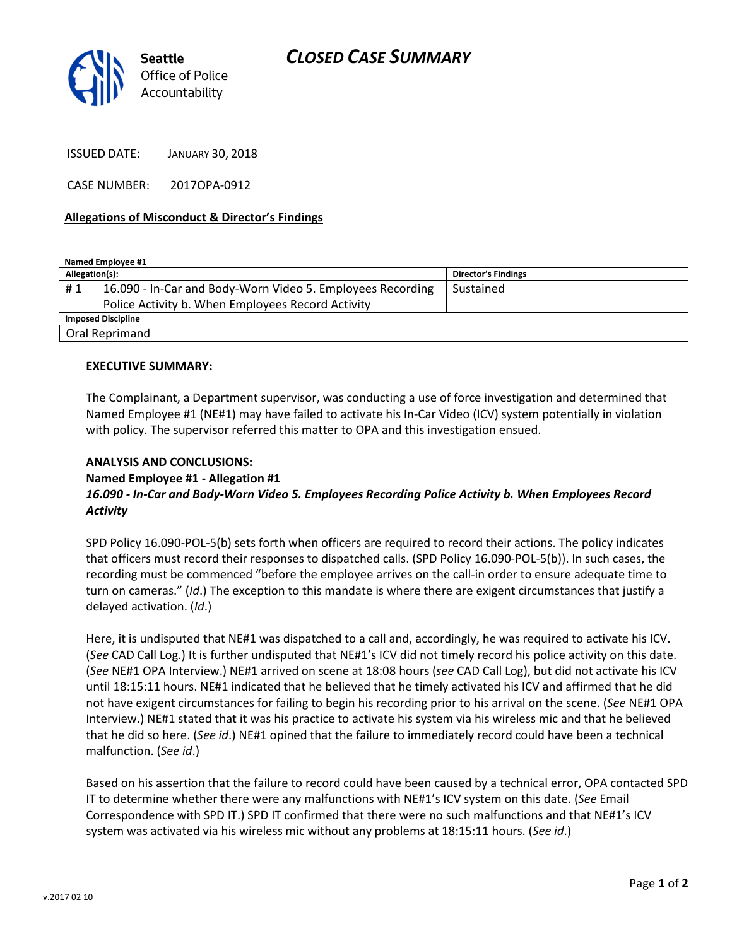

ISSUED DATE: JANUARY 30, 2018

CASE NUMBER: 2017OPA-0912

## Allegations of Misconduct & Director's Findings

Named Employee #1

| Allegation(s):            |                                                            | <b>Director's Findings</b> |
|---------------------------|------------------------------------------------------------|----------------------------|
| #1                        | 16.090 - In-Car and Body-Worn Video 5. Employees Recording | Sustained                  |
|                           | Police Activity b. When Employees Record Activity          |                            |
| <b>Imposed Discipline</b> |                                                            |                            |
| Oral Reprimand            |                                                            |                            |

#### EXECUTIVE SUMMARY:

The Complainant, a Department supervisor, was conducting a use of force investigation and determined that Named Employee #1 (NE#1) may have failed to activate his In-Car Video (ICV) system potentially in violation with policy. The supervisor referred this matter to OPA and this investigation ensued.

## ANALYSIS AND CONCLUSIONS:

#### Named Employee #1 - Allegation #1

# 16.090 - In-Car and Body-Worn Video 5. Employees Recording Police Activity b. When Employees Record **Activity**

SPD Policy 16.090-POL-5(b) sets forth when officers are required to record their actions. The policy indicates that officers must record their responses to dispatched calls. (SPD Policy 16.090-POL-5(b)). In such cases, the recording must be commenced "before the employee arrives on the call-in order to ensure adequate time to turn on cameras." (Id.) The exception to this mandate is where there are exigent circumstances that justify a delayed activation. (Id.)

Here, it is undisputed that NE#1 was dispatched to a call and, accordingly, he was required to activate his ICV. (See CAD Call Log.) It is further undisputed that NE#1's ICV did not timely record his police activity on this date. (See NE#1 OPA Interview.) NE#1 arrived on scene at 18:08 hours (see CAD Call Log), but did not activate his ICV until 18:15:11 hours. NE#1 indicated that he believed that he timely activated his ICV and affirmed that he did not have exigent circumstances for failing to begin his recording prior to his arrival on the scene. (See NE#1 OPA Interview.) NE#1 stated that it was his practice to activate his system via his wireless mic and that he believed that he did so here. (See id.) NE#1 opined that the failure to immediately record could have been a technical malfunction. (See id.)

Based on his assertion that the failure to record could have been caused by a technical error, OPA contacted SPD IT to determine whether there were any malfunctions with NE#1's ICV system on this date. (See Email Correspondence with SPD IT.) SPD IT confirmed that there were no such malfunctions and that NE#1's ICV system was activated via his wireless mic without any problems at 18:15:11 hours. (See id.)